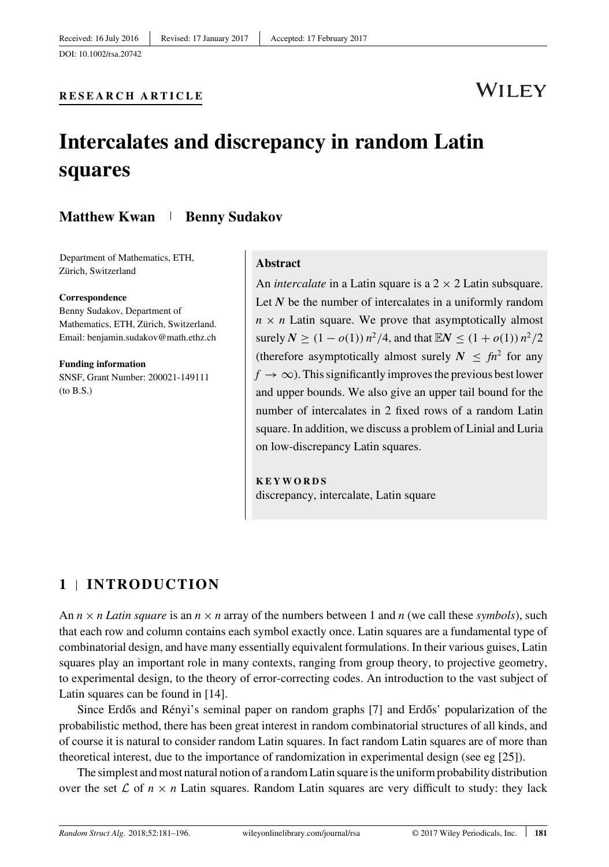### **RESEARCH ARTICLE**

# WH FY

# **Intercalates and discrepancy in random Latin squares**

### **Matthew Kwan Benny Sudakov**

Department of Mathematics, ETH, Zürich, Switzerland

#### **Correspondence**

Benny Sudakov, Department of Mathematics, ETH, Zürich, Switzerland. Email: benjamin.sudakov@math.ethz.ch

**Funding information** SNSF, Grant Number: 200021-149111 (to B.S.)

#### **Abstract**

An *intercalate* in a Latin square is a  $2 \times 2$  Latin subsquare. Let  $N$  be the number of intercalates in a uniformly random  $n \times n$  Latin square. We prove that asymptotically almost surely  $N \ge (1 - o(1)) n^2/4$ , and that  $\mathbb{E}N \le (1 + o(1)) n^2/2$ (therefore asymptotically almost surely  $N \leq \hbar^2$  for any  $f \rightarrow \infty$ ). This significantly improves the previous best lower and upper bounds. We also give an upper tail bound for the number of intercalates in 2 fixed rows of a random Latin square. In addition, we discuss a problem of Linial and Luria on low-discrepancy Latin squares.

#### **KEYWORDS**

discrepancy, intercalate, Latin square

## **1 INTRODUCTION**

An  $n \times n$  Latin square is an  $n \times n$  array of the numbers between 1 and *n* (we call these *symbols*), such that each row and column contains each symbol exactly once. Latin squares are a fundamental type of combinatorial design, and have many essentially equivalent formulations. In their various guises, Latin squares play an important role in many contexts, ranging from group theory, to projective geometry, to experimental design, to the theory of error-correcting codes. An introduction to the vast subject of Latin squares can be found in [\[14\]](#page-14-0).

Since Erdős and Rényi's seminal paper on random graphs [\[7\]](#page-14-0) and Erdős' popularization of the probabilistic method, there has been great interest in random combinatorial structures of all kinds, and of course it is natural to consider random Latin squares. In fact random Latin squares are of more than theoretical interest, due to the importance of randomization in experimental design (see eg [\[25\]](#page-15-0)).

The simplest and most natural notion of a random Latin square is the uniform probability distribution over the set  $\mathcal L$  of  $n \times n$  Latin squares. Random Latin squares are very difficult to study: they lack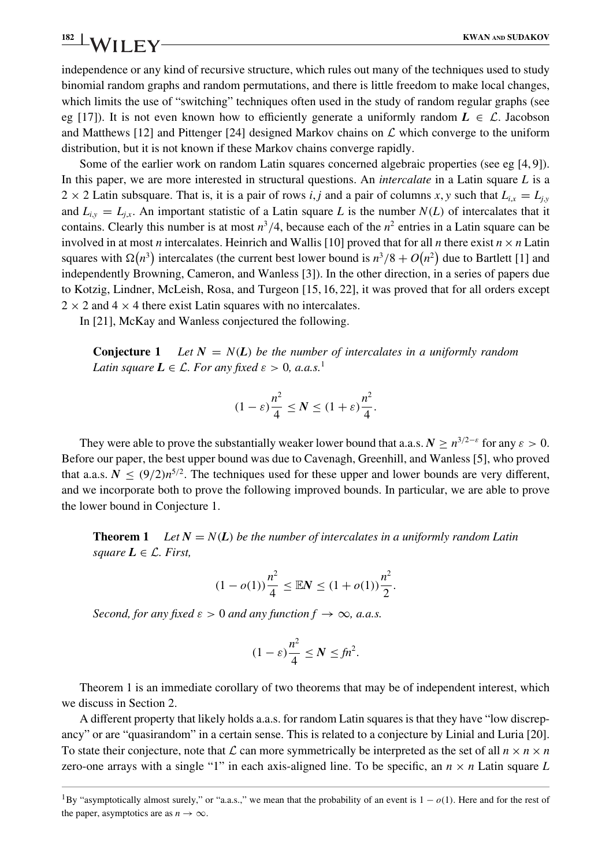# <span id="page-1-0"></span>**182 KWAN** AND **SUDAKOV**<br>**182 KWAN** AND **SUDAKOV**

independence or any kind of recursive structure, which rules out many of the techniques used to study binomial random graphs and random permutations, and there is little freedom to make local changes, which limits the use of "switching" techniques often used in the study of random regular graphs (see eg [\[17\]](#page-14-0)). It is not even known how to efficiently generate a uniformly random  $L \in \mathcal{L}$ . Jacobson and Matthews [\[12\]](#page-14-0) and Pittenger [\[24\]](#page-15-0) designed Markov chains on  $\mathcal L$  which converge to the uniform distribution, but it is not known if these Markov chains converge rapidly.

Some of the earlier work on random Latin squares concerned algebraic properties (see eg [\[4, 9\]](#page-14-0)). In this paper, we are more interested in structural questions. An *intercalate* in a Latin square *L* is a  $2 \times 2$  Latin subsquare. That is, it is a pair of rows *i*, *j* and a pair of columns *x*, *y* such that  $L_{i.x} = L_{i.y}$ and  $L_{i,y} = L_{i,x}$ . An important statistic of a Latin square *L* is the number  $N(L)$  of intercalates that it contains. Clearly this number is at most  $n^3/4$ , because each of the  $n^2$  entries in a Latin square can be involved in at most *n* intercalates. Heinrich and Wallis [\[10\]](#page-14-0) proved that for all *n* there exist  $n \times n$  Latin squares with  $\Omega(n^3)$  intercalates (the current best lower bound is  $n^3/8 + O(n^2)$  due to Bartlett [\[1\]](#page-14-0) and independently Browning, Cameron, and Wanless [\[3\]](#page-14-0)). In the other direction, in a series of papers due to Kotzig, Lindner, McLeish, Rosa, and Turgeon [\[15, 16, 22\]](#page-14-0), it was proved that for all orders except  $2 \times 2$  and  $4 \times 4$  there exist Latin squares with no intercalates.

In [\[21\]](#page-14-0), McKay and Wanless conjectured the following.

**Conjecture 1** *Let*  $N = N(L)$  *be the number of intercalates in a uniformly random Latin square*  $L \in \mathcal{L}$ *. For any fixed*  $\varepsilon > 0$ *, a.a.s.*<sup>1</sup>

$$
(1 - \varepsilon)\frac{n^2}{4} \le N \le (1 + \varepsilon)\frac{n^2}{4}.
$$

They were able to prove the substantially weaker lower bound that a.a.s.  $N \ge n^{3/2-\epsilon}$  for any  $\epsilon > 0$ . Before our paper, the best upper bound was due to Cavenagh, Greenhill, and Wanless [\[5\]](#page-14-0), who proved that a.a.s.  $N < (9/2)n^{5/2}$ . The techniques used for these upper and lower bounds are very different, and we incorporate both to prove the following improved bounds. In particular, we are able to prove the lower bound in Conjecture 1.

**Theorem 1** *Let*  $N = N(L)$  *be the number of intercalates in a uniformly random Latin square*  $L \in \mathcal{L}$ *. First,* 

$$
(1 - o(1))\frac{n^2}{4} \leq \mathbb{E}N \leq (1 + o(1))\frac{n^2}{2}.
$$

*Second, for any fixed*  $\varepsilon > 0$  *and any function*  $f \to \infty$ *, a.a.s.* 

$$
(1 - \varepsilon) \frac{n^2}{4} \le N \le \mathit{fn}^2.
$$

Theorem 1 is an immediate corollary of two theorems that may be of independent interest, which we discuss in [Section 2.](#page-2-0)

A different property that likely holds a.a.s. for random Latin squares is that they have "low discrepancy" or are "quasirandom" in a certain sense. This is related to a conjecture by Linial and Luria [\[20\]](#page-14-0). To state their conjecture, note that L can more symmetrically be interpreted as the set of all  $n \times n \times n$ zero-one arrays with a single "1" in each axis-aligned line. To be specific, an  $n \times n$  Latin square L

<sup>&</sup>lt;sup>1</sup>By "asymptotically almost surely," or "a.a.s.," we mean that the probability of an event is  $1 - o(1)$ . Here and for the rest of the paper, asymptotics are as  $n \to \infty$ .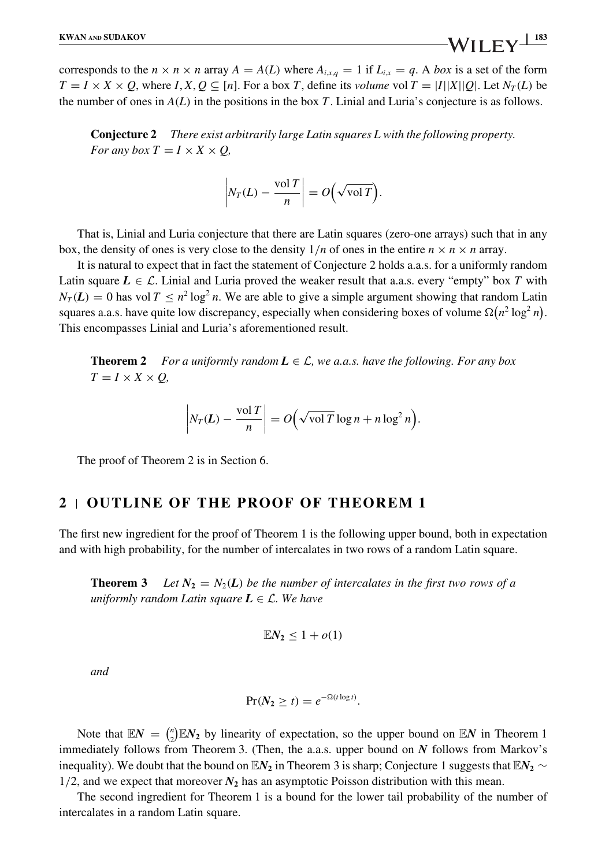<span id="page-2-0"></span>corresponds to the  $n \times n \times n$  array  $A = A(L)$  where  $A_{i,x,q} = 1$  if  $L_{i,x} = q$ . A *box* is a set of the form  $T = I \times X \times Q$ , where  $I, X, Q \subseteq [n]$ . For a box *T*, define its *volume* vol  $T = |I||X||Q|$ . Let  $N_T(L)$  be the number of ones in *A*(*L*) in the positions in the box *T*. Linial and Luria's conjecture is as follows.

**Conjecture 2** *There exist arbitrarily large Latin squares L with the following property. For any box*  $T = I \times X \times O$ ,

$$
\left|N_T(L) - \frac{\text{vol } T}{n}\right| = O\left(\sqrt{\text{vol } T}\right).
$$

That is, Linial and Luria conjecture that there are Latin squares (zero-one arrays) such that in any box, the density of ones is very close to the density  $1/n$  of ones in the entire  $n \times n \times n$  array.

It is natural to expect that in fact the statement of Conjecture 2 holds a.a.s. for a uniformly random Latin square  $L \in \mathcal{L}$ . Linial and Luria proved the weaker result that a.a.s. every "empty" box *T* with  $N_T(L) = 0$  has vol  $T \le n^2 \log^2 n$ . We are able to give a simple argument showing that random Latin squares a.a.s. have quite low discrepancy, especially when considering boxes of volume  $\Omega(n^2 \log^2 n)$ . This encompasses Linial and Luria's aforementioned result.

**Theorem 2** *For a uniformly random*  $L \in \mathcal{L}$ *, we a.a.s. have the following. For any box*  $T = I \times X \times Q$ ,

$$
\left|N_T(\boldsymbol{L})-\frac{\text{vol }T}{n}\right|=O\left(\sqrt{\text{vol }T}\log n+n\log^2 n\right).
$$

The proof of Theorem 2 is in [Section 6](#page-11-0).

### **2 OUTLINE OF THE PROOF OF THEOREM [1](#page-1-0)**

The first new ingredient for the proof of [Theorem 1](#page-1-0) is the following upper bound, both in expectation and with high probability, for the number of intercalates in two rows of a random Latin square.

**Theorem 3** Let  $N_2 = N_2(L)$  be the number of intercalates in the first two rows of a *uniformly random Latin square*  $L \in \mathcal{L}$ *. We have* 

$$
\mathbb{E}N_2\leq 1+o(1)
$$

*and*

$$
Pr(N_2 \ge t) = e^{-\Omega(t \log t)}.
$$

Note that  $\mathbb{E}N = \binom{n}{2}$  $\binom{n}{2}$  EN<sub>2</sub> by linearity of expectation, so the upper bound on EN in [Theorem 1](#page-1-0) immediately follows from Theorem 3. (Then, the a.a.s. upper bound on *N* follows from Markov's inequality). We doubt that the bound on  $\mathbb{E}N_2$  in Theorem 3 is sharp; [Conjecture 1](#page-1-0) suggests that  $\mathbb{E}N_2 \sim$  $1/2$ , and we expect that moreover  $N_2$  has an asymptotic Poisson distribution with this mean.

The second ingredient for [Theorem 1](#page-1-0) is a bound for the lower tail probability of the number of intercalates in a random Latin square.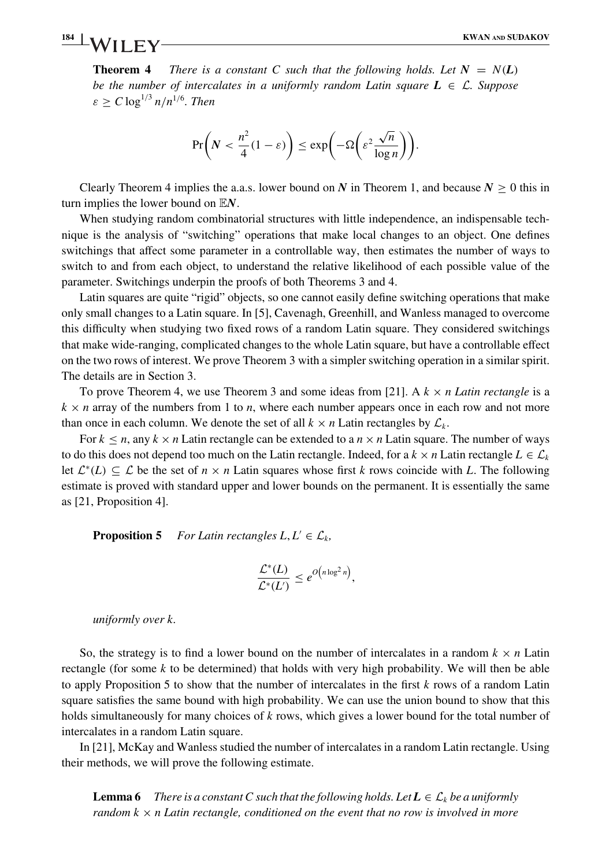# <span id="page-3-0"></span>**184 KWAN** AND **SUDAKOV**<br>**EXPLORE TO AND <b>KWAN** AND **SUDAKOV**

**Theorem 4** *There is a constant C such that the following holds. Let*  $N = N(L)$ *be the number of intercalates in a uniformly random Latin square*  $L \in \mathcal{L}$ . Suppose  $\varepsilon > C \log^{1/3} n/n^{1/6}$ . Then

> $Pr\left(N < \frac{n^2}{4}(1 - \varepsilon)\right) \leq exp\left(-\Omega\left(\varepsilon^2 \frac{\sqrt{n}}{\log n}\right)\right)$  $\left(\frac{\sqrt{n}}{\log n}\right)\bigg).$

Clearly Theorem 4 implies the a.a.s. lower bound on *N* in [Theorem 1](#page-1-0), and because  $N \ge 0$  this in turn implies the lower bound on E*N*.

When studying random combinatorial structures with little independence, an indispensable technique is the analysis of "switching" operations that make local changes to an object. One defines switchings that affect some parameter in a controllable way, then estimates the number of ways to switch to and from each object, to understand the relative likelihood of each possible value of the parameter. Switchings underpin the proofs of both Theorems [3](#page-2-0) and 4.

Latin squares are quite "rigid" objects, so one cannot easily define switching operations that make only small changes to a Latin square. In [\[5\]](#page-14-0), Cavenagh, Greenhill, and Wanless managed to overcome this difficulty when studying two fixed rows of a random Latin square. They considered switchings that make wide-ranging, complicated changes to the whole Latin square, but have a controllable effect on the two rows of interest. We prove [Theorem 3](#page-2-0) with a simpler switching operation in a similar spirit. The details are in [Section 3.](#page-4-0)

To prove Theorem 4, we use [Theorem 3](#page-2-0) and some ideas from [\[21\]](#page-14-0). A *k* × *n Latin rectangle* is a  $k \times n$  array of the numbers from 1 to *n*, where each number appears once in each row and not more than once in each column. We denote the set of all  $k \times n$  Latin rectangles by  $\mathcal{L}_k$ .

For  $k \le n$ , any  $k \times n$  Latin rectangle can be extended to a  $n \times n$  Latin square. The number of ways to do this does not depend too much on the Latin rectangle. Indeed, for a  $k \times n$  Latin rectangle  $L \in \mathcal{L}_k$ let <sup>L</sup><sup>∗</sup>(*L*) <sup>⊆</sup> <sup>L</sup> be the set of *<sup>n</sup>* <sup>×</sup> *<sup>n</sup>* Latin squares whose first *<sup>k</sup>* rows coincide with *<sup>L</sup>*. The following estimate is proved with standard upper and lower bounds on the permanent. It is essentially the same as [\[21,](#page-14-0) Proposition 4].

**Proposition 5** *For Latin rectangles*  $L, L' \in \mathcal{L}_k$ *,* 

$$
\frac{\mathcal{L}^*(L)}{\mathcal{L}^*(L')} \leq e^{O\left(n\log^2 n\right)},
$$

*uniformly over k.*

So, the strategy is to find a lower bound on the number of intercalates in a random  $k \times n$  Latin rectangle (for some *k* to be determined) that holds with very high probability. We will then be able to apply Proposition 5 to show that the number of intercalates in the first *k* rows of a random Latin square satisfies the same bound with high probability. We can use the union bound to show that this holds simultaneously for many choices of *k* rows, which gives a lower bound for the total number of intercalates in a random Latin square.

In [\[21\]](#page-14-0), McKay and Wanless studied the number of intercalates in a random Latin rectangle. Using their methods, we will prove the following estimate.

**Lemma 6** *There is a constant C such that the following holds. Let*  $L \in \mathcal{L}_k$  *be a uniformly random*  $k \times n$  *Latin rectangle, conditioned on the event that no row is involved in more*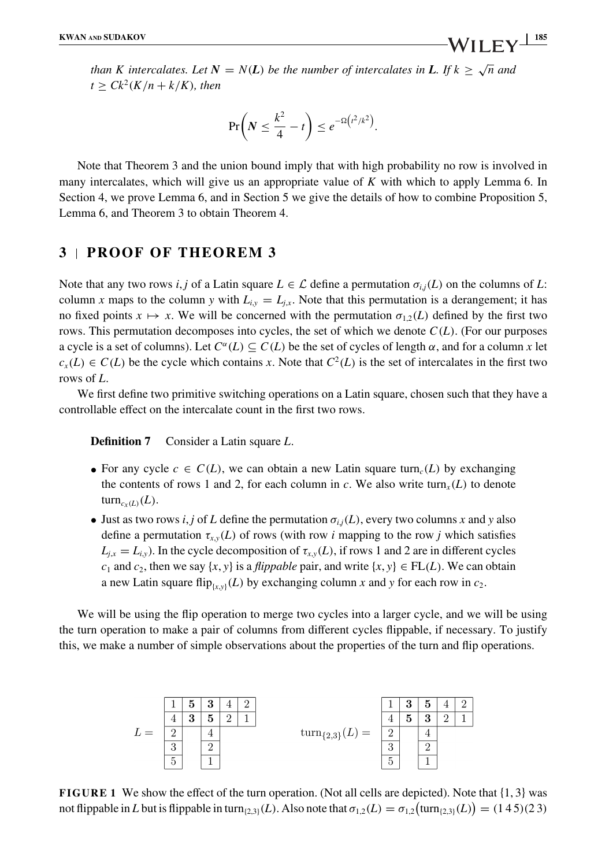<span id="page-4-0"></span>*than K intercalates. Let*  $N = N(L)$  *be the number of intercalates in L. If*  $k \geq \sqrt{n}$  *and*  $t > Ck^2(K/n + k/K)$ , then

$$
\Pr\bigg(N \leq \frac{k^2}{4} - t\bigg) \leq e^{-\Omega\left(t^2/k^2\right)}.
$$

Note that [Theorem 3](#page-2-0) and the union bound imply that with high probability no row is involved in many intercalates, which will give us an appropriate value of *K* with which to apply [Lemma 6.](#page-3-0) In [Section 4](#page-7-0), we prove [Lemma 6,](#page-3-0) and in [Section 5](#page-10-0) we give the details of how to combine [Proposition 5](#page-3-0), [Lemma 6,](#page-3-0) and [Theorem 3](#page-2-0) to obtain [Theorem 4.](#page-3-0)

### **3 PROOF OF THEOREM [3](#page-2-0)**

Note that any two rows *i*, *j* of a Latin square  $L \in \mathcal{L}$  define a permutation  $\sigma_{i,j}(L)$  on the columns of *L*: column *x* maps to the column *y* with  $L_{i,y} = L_{i,x}$ . Note that this permutation is a derangement; it has no fixed points  $x \mapsto x$ . We will be concerned with the permutation  $\sigma_{1,2}(L)$  defined by the first two rows. This permutation decomposes into cycles, the set of which we denote  $C(L)$ . (For our purposes a cycle is a set of columns). Let  $C^{\alpha}(L) \subset C(L)$  be the set of cycles of length  $\alpha$ , and for a column x let  $c_r(L) \in C(L)$  be the cycle which contains *x*. Note that  $C^2(L)$  is the set of intercalates in the first two rows of *L*.

We first define two primitive switching operations on a Latin square, chosen such that they have a controllable effect on the intercalate count in the first two rows.

**Definition 7** Consider a Latin square *L*.

- For any cycle  $c \in C(L)$ , we can obtain a new Latin square turn<sub>c</sub>(*L*) by exchanging the contents of rows 1 and 2, for each column in  $c$ . We also write turn<sub>x</sub>(*L*) to denote  $turn_{c_x(L)}(L)$ .
- Just as two rows *i*, *j* of *L* define the permutation  $\sigma_{i,j}(L)$ , every two columns *x* and *y* also define a permutation  $\tau_{x,y}(L)$  of rows (with row *i* mapping to the row *j* which satisfies  $L_{i,x} = L_{i,y}$ ). In the cycle decomposition of  $\tau_{x,y}(L)$ , if rows 1 and 2 are in different cycles *c*<sub>1</sub> and *c*<sub>2</sub>, then we say {*x*, *y*} is a *flippable* pair, and write {*x*, *y*}  $\in$  FL(*L*). We can obtain a new Latin square flip<sub>{*x,y}*</sub>(*L*) by exchanging column *x* and *y* for each row in  $c_2$ .

We will be using the flip operation to merge two cycles into a larger cycle, and we will be using the turn operation to make a pair of columns from different cycles flippable, if necessary. To justify this, we make a number of simple observations about the properties of the turn and flip operations.



**FIGURE 1** We show the effect of the turn operation. (Not all cells are depicted). Note that  $\{1, 3\}$  was not flippable in *L* but is flippable in turn<sub>{2,3}</sub>(*L*). Also note that  $\sigma_{1,2}(L) = \sigma_{1,2}(\text{turn}_{\{2,3\}}(L)) = (1\ 4\ 5)(2\ 3)$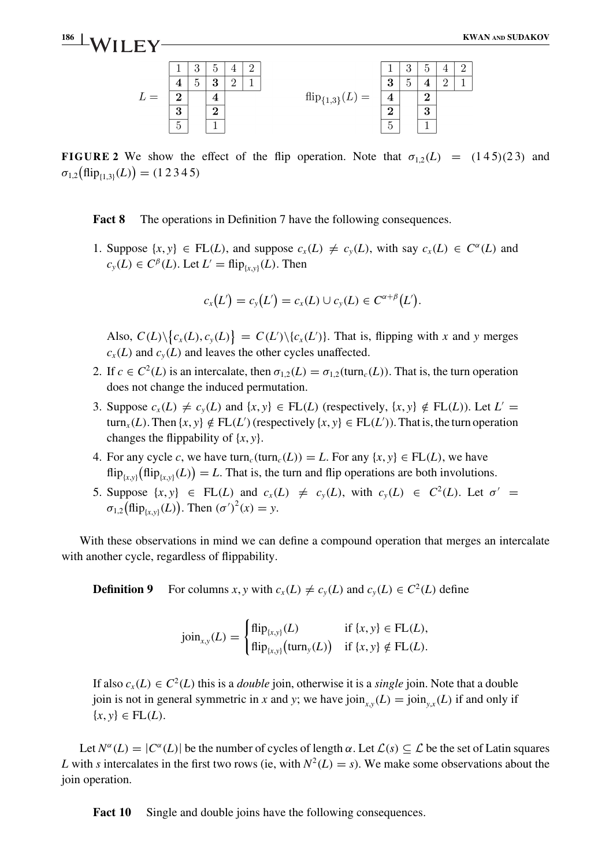

**FIGURE 2** We show the effect of the flip operation. Note that  $\sigma_{12}(L) = (145)(23)$  and  $\sigma_{1,2}(\text{flip}_{\{1,3\}}(L)) = (1\ 2\ 3\ 4\ 5)$ 

Fact 8 The operations in [Definition 7](#page-4-0) have the following consequences.

1. Suppose  $\{x, y\} \in FL(L)$ , and suppose  $c_x(L) \neq c_y(L)$ , with say  $c_x(L) \in C^{\alpha}(L)$  and  $c_y(L) \in C^{\beta}(L)$ . Let  $L' = \text{flip}_{\{x,y\}}(L)$ . Then

$$
c_x(L') = c_y(L') = c_x(L) \cup c_y(L) \in C^{\alpha+\beta}(L').
$$

Also,  $C(L) \setminus \{c_x(L), c_y(L)\} = C(L') \setminus \{c_x(L')\}$ . That is, flipping with *x* and *y* merges  $c_x(L)$  and  $c_y(L)$  and leaves the other cycles unaffected.

- 2. If  $c \in C^2(L)$  is an intercalate, then  $\sigma_{1,2}(L) = \sigma_{1,2}(\text{turn}_c(L))$ . That is, the turn operation does not change the induced permutation.
- 3. Suppose  $c_x(L) \neq c_y(L)$  and  $\{x, y\} \in FL(L)$  (respectively,  $\{x, y\} \notin FL(L)$ ). Let  $L' =$ turn<sub>*x*</sub>(*L*). Then {*x*, *y*}  $\notin$  FL(*L*<sup>'</sup>)(respectively {*x*, *y*}  $\in$  FL(*L*<sup>'</sup>)). That is, the turn operation changes the flippability of {*x*, *y*}.
- 4. For any cycle *c*, we have turn<sub>*c*</sub>(turn<sub>*c*</sub>(*L*)) = *L*. For any {*x*, *y*}  $\in$  FL(*L*), we have  $\text{flip}_{\{x,y\}}(\text{flip}_{\{x,y\}}(L)) = L$ . That is, the turn and flip operations are both involutions.
- 5. Suppose  $\{x, y\} \in FL(L)$  and  $c_x(L) \neq c_y(L)$ , with  $c_y(L) \in C^2(L)$ . Let  $\sigma' =$  $\sigma_{1,2}(\text{flip}_{\{x,y\}}(L))$ . Then  $(\sigma')^2(x) = y$ .

With these observations in mind we can define a compound operation that merges an intercalate with another cycle, regardless of flippability.

**Definition 9** For columns *x*, *y* with  $c_x(L) \neq c_y(L)$  and  $c_y(L) \in C^2(L)$  define

$$
\text{join}_{x,y}(L) = \begin{cases} \text{flip}_{\{x,y\}}(L) & \text{if } \{x,y\} \in \text{FL}(L), \\ \text{flip}_{\{x,y\}}(\text{turn}_y(L)) & \text{if } \{x,y\} \notin \text{FL}(L). \end{cases}
$$

If also  $c_x(L) \in C^2(L)$  this is a *double* join, otherwise it is a *single* join. Note that a double join is not in general symmetric in *x* and *y*; we have join<sub>*x*,*y*</sub>(*L*) = join<sub>*y*,*x*</sub>(*L*) if and only if  ${x, y} \in \text{FL}(L)$ .

Let  $N^{\alpha}(L) = |C^{\alpha}(L)|$  be the number of cycles of length  $\alpha$ . Let  $\mathcal{L}(s) \subseteq \mathcal{L}$  be the set of Latin squares *L* with *s* intercalates in the first two rows (ie, with  $N^2(L) = s$ ). We make some observations about the join operation.

Fact 10 Single and double joins have the following consequences.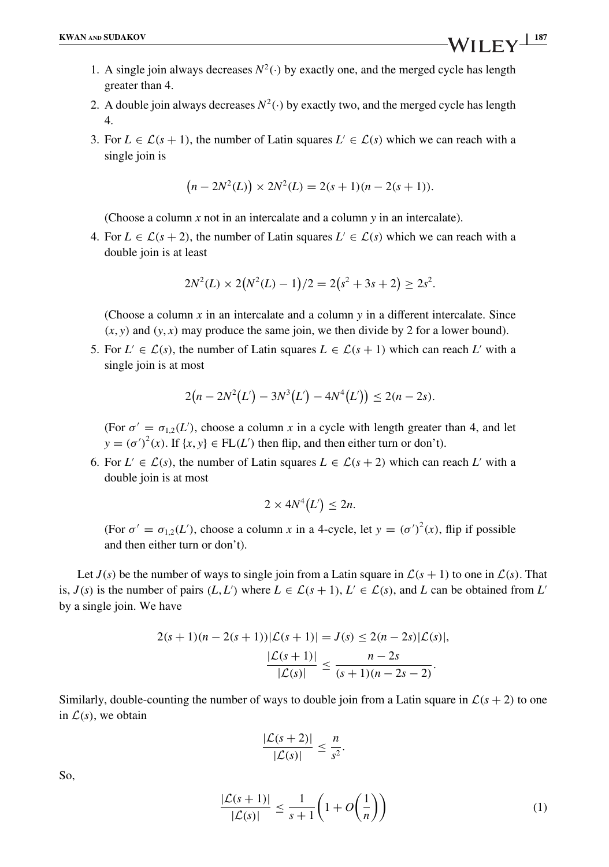- <span id="page-6-0"></span>1. A single join always decreases  $N^2(\cdot)$  by exactly one, and the merged cycle has length greater than 4.
- 2. A double join always decreases  $N^2(\cdot)$  by exactly two, and the merged cycle has length 4.
- 3. For *L* ∈  $\mathcal{L}(s + 1)$ , the number of Latin squares *L'* ∈  $\mathcal{L}(s)$  which we can reach with a single join is

$$
(n - 2N^{2}(L)) \times 2N^{2}(L) = 2(s + 1)(n - 2(s + 1)).
$$

(Choose a column *x* not in an intercalate and a column *y* in an intercalate).

4. For  $L \in \mathcal{L}(s + 2)$ , the number of Latin squares  $L' \in \mathcal{L}(s)$  which we can reach with a double join is at least

$$
2N^{2}(L) \times 2(N^{2}(L) - 1)/2 = 2(s^{2} + 3s + 2) \ge 2s^{2}.
$$

(Choose a column *x* in an intercalate and a column *y* in a different intercalate. Since  $(x, y)$  and  $(y, x)$  may produce the same join, we then divide by 2 for a lower bound).

5. For  $L' \in \mathcal{L}(s)$ , the number of Latin squares  $L \in \mathcal{L}(s + 1)$  which can reach L' with a single join is at most

$$
2(n-2N^{2}(L') - 3N^{3}(L') - 4N^{4}(L')) \le 2(n-2s).
$$

(For  $\sigma' = \sigma_{1,2}(L')$ , choose a column x in a cycle with length greater than 4, and let  $y = (\sigma')^2(x)$ . If  $\{x, y\} \in FL(L')$  then flip, and then either turn or don't).

6. For  $L' \in \mathcal{L}(s)$ , the number of Latin squares  $L \in \mathcal{L}(s + 2)$  which can reach L' with a double join is at most

$$
2 \times 4N^4(L') \leq 2n.
$$

(For  $\sigma' = \sigma_{1,2}(L')$ , choose a column *x* in a 4-cycle, let  $y = (\sigma')^2(x)$ , flip if possible and then either turn or don't).

Let  $J(s)$  be the number of ways to single join from a Latin square in  $\mathcal{L}(s + 1)$  to one in  $\mathcal{L}(s)$ . That is,  $J(s)$  is the number of pairs  $(L, L')$  where  $L \in \mathcal{L}(s + 1)$ ,  $L' \in \mathcal{L}(s)$ , and *L* can be obtained from *L'* by a single join. We have

$$
2(s+1)(n-2(s+1))|\mathcal{L}(s+1)| = J(s) \le 2(n-2s)|\mathcal{L}(s)|,
$$
  

$$
\frac{|\mathcal{L}(s+1)|}{|\mathcal{L}(s)|} \le \frac{n-2s}{(s+1)(n-2s-2)}.
$$

Similarly, double-counting the number of ways to double join from a Latin square in  $\mathcal{L}(s + 2)$  to one in  $\mathcal{L}(s)$ , we obtain

$$
\frac{|\mathcal{L}(s+2)|}{|\mathcal{L}(s)|} \leq \frac{n}{s^2}.
$$

So,

$$
\frac{|\mathcal{L}(s+1)|}{|\mathcal{L}(s)|} \le \frac{1}{s+1} \left( 1 + O\left(\frac{1}{n}\right) \right) \tag{1}
$$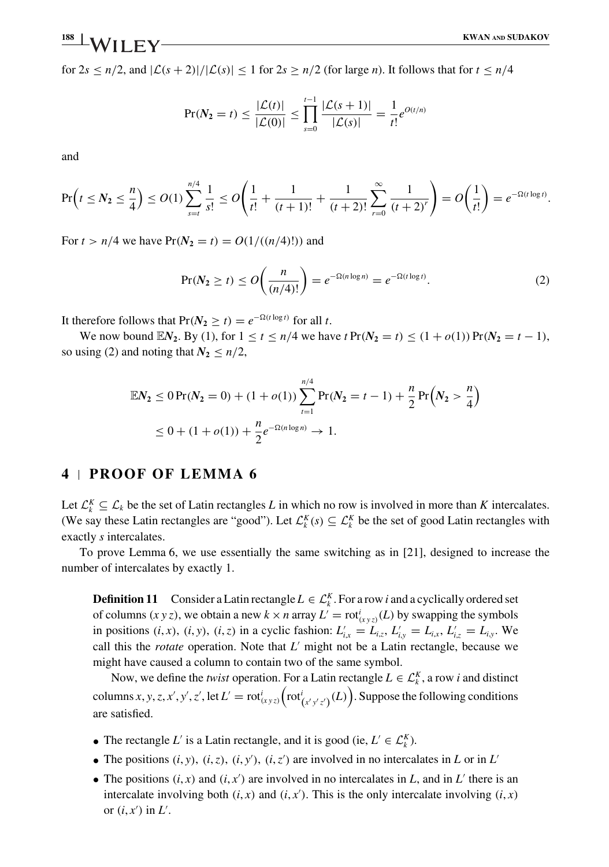<span id="page-7-0"></span>for  $2s \leq n/2$ , and  $|\mathcal{L}(s+2)|/|\mathcal{L}(s)| \leq 1$  for  $2s \geq n/2$  (for large *n*). It follows that for  $t \leq n/4$ 

$$
Pr(N_2 = t) \leq \frac{|\mathcal{L}(t)|}{|\mathcal{L}(0)|} \leq \prod_{s=0}^{t-1} \frac{|\mathcal{L}(s+1)|}{|\mathcal{L}(s)|} = \frac{1}{t!} e^{O(t/n)}
$$

and

$$
\Pr\left(t \leq N_2 \leq \frac{n}{4}\right) \leq O(1) \sum_{s=t}^{n/4} \frac{1}{s!} \leq O\left(\frac{1}{t!} + \frac{1}{(t+1)!} + \frac{1}{(t+2)!} \sum_{r=0}^{\infty} \frac{1}{(t+2)^r}\right) = O\left(\frac{1}{t!}\right) = e^{-\Omega(t \log t)}.
$$

For  $t > n/4$  we have  $Pr(N_2 = t) = O(1/((n/4)!))$  and

$$
\Pr(N_2 \ge t) \le O\left(\frac{n}{(n/4)!}\right) = e^{-\Omega(n \log n)} = e^{-\Omega(t \log t)}.
$$
 (2)

It therefore follows that  $Pr(N_2 \ge t) = e^{-\Omega(t \log t)}$  for all *t*.

We now bound  $\mathbb{E}N_2$ . By [\(1\),](#page-6-0) for  $1 \le t \le n/4$  we have  $t \Pr(N_2 = t) \le (1 + o(1)) \Pr(N_2 = t - 1)$ , so using (2) and noting that  $N_2 \leq n/2$ ,

$$
\mathbb{E}N_2 \le 0 \Pr(N_2 = 0) + (1 + o(1)) \sum_{t=1}^{n/4} \Pr(N_2 = t - 1) + \frac{n}{2} \Pr(N_2 > \frac{n}{4})
$$
\n
$$
\le 0 + (1 + o(1)) + \frac{n}{2} e^{-\Omega(n \log n)} \to 1.
$$

### **4 PROOF OF LEMMA [6](#page-3-0)**

Let  $\mathcal{L}_k^K \subseteq \mathcal{L}_k$  be the set of Latin rectangles *L* in which no row is involved in more than *K* intercalates. (We say these Latin rectangles are "good"). Let  $\mathcal{L}_k^K(s) \subseteq \mathcal{L}_k^K$  be the set of good Latin rectangles with exactly *s* intercalates.

To prove [Lemma 6](#page-3-0), we use essentially the same switching as in [\[21\]](#page-14-0), designed to increase the number of intercalates by exactly 1.

**Definition 11** Consider a Latin rectangle  $L \in \mathcal{L}_k^K$ . For a row *i* and a cyclically ordered set of columns  $(xyz)$ , we obtain a new  $k \times n$  array  $L' = \text{rot}_{(xyz)}^i(L)$  by swapping the symbols in positions  $(i, x)$ ,  $(i, y)$ ,  $(i, z)$  in a cyclic fashion:  $L'_{i,x} = L_{i,z}$ ,  $L'_{i,y} = L_{i,x}$ ,  $L'_{i,z} = L_{i,y}$ . We call this the *rotate* operation. Note that  $L'$  might not be a Latin rectangle, because we might have caused a column to contain two of the same symbol.

Now, we define the *twist* operation. For a Latin rectangle  $L \in \mathcal{L}_k^K$ , a row *i* and distinct columns *x*, *y*, *z*, *x'*, *y'*, *z'*, let  $L' = \text{rot}_{(x \ y z)}^i(\text{rot}_{(x' y' z')}(L))$ . Suppose the following conditions are satisfied.

- The rectangle *L'* is a Latin rectangle, and it is good (ie,  $L' \in \mathcal{L}_k^K$ ).
- The positions  $(i, y)$ ,  $(i, z)$ ,  $(i, y')$ ,  $(i, z')$  are involved in no intercalates in *L* or in *L'*
- The positions  $(i, x)$  and  $(i, x')$  are involved in no intercalates in *L*, and in *L'* there is an intercalate involving both  $(i, x)$  and  $(i, x')$ . This is the only intercalate involving  $(i, x)$ or  $(i, x')$  in  $L'$ .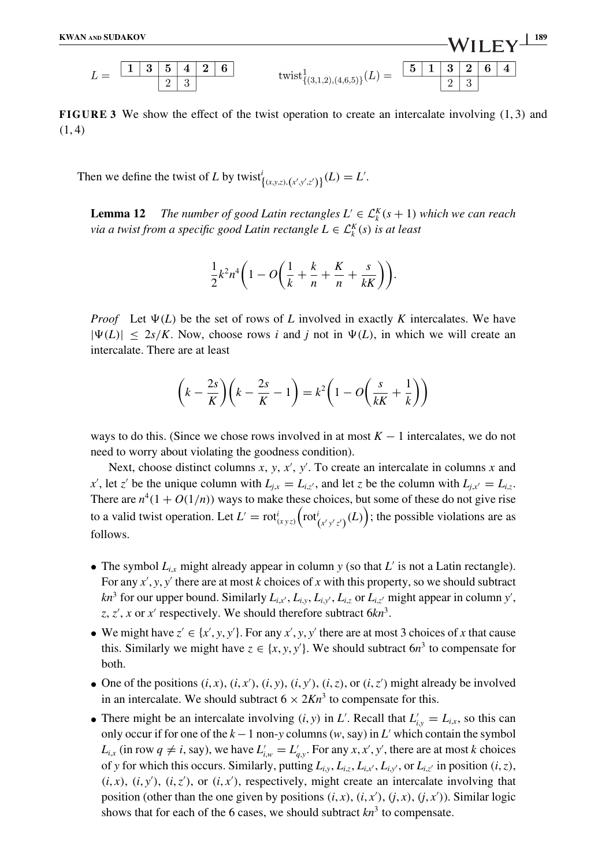<span id="page-8-0"></span>
$$
L = \begin{array}{|c|c|c|c|c|} \hline 1 & 3 & 5 & 4 & 2 & 6 \\ \hline & 2 & 3 & & & & \\ \hline \end{array} \hspace{2cm} \text{twist}_{\{(3,1,2),(4,6,5)\}}^{1}(L) = \begin{array}{|c|c|c|c|} \hline 5 & 1 & 3 & 2 & 6 & 4 \\ \hline & 2 & 3 & & & \\ \hline \end{array}
$$

**FIGURE 3** We show the effect of the twist operation to create an intercalate involving (1,3) and  $(1, 4)$ 

Then we define the twist of *L* by twist<sup>*i*</sup></sup> $\{(x,y,z), (x',y',z')\}(L) = L'.$ 

**Lemma 12** *The number of good Latin rectangles*  $L' \in \mathcal{L}_k^K(s+1)$  *which we can reach via a twist from a specific good Latin rectangle*  $L \in \mathcal{L}_k^K(s)$  *is at least* 

$$
\frac{1}{2}k^2n^4\bigg(1-O\bigg(\frac{1}{k}+\frac{k}{n}+\frac{K}{n}+\frac{s}{kK}\bigg)\bigg).
$$

*Proof* Let  $\Psi(L)$  be the set of rows of L involved in exactly K intercalates. We have  $|\Psi(L)| \leq 2s/K$ . Now, choose rows *i* and *j* not in  $\Psi(L)$ , in which we will create an intercalate. There are at least

$$
\left(k - \frac{2s}{K}\right)\left(k - \frac{2s}{K} - 1\right) = k^2 \left(1 - O\left(\frac{s}{kK} + \frac{1}{k}\right)\right)
$$

ways to do this. (Since we chose rows involved in at most  $K - 1$  intercalates, we do not need to worry about violating the goodness condition).

Next, choose distinct columns  $x$ ,  $y$ ,  $x'$ ,  $y'$ . To create an intercalate in columns  $x$  and *x*<sup>'</sup>, let *z*<sup>'</sup> be the unique column with  $L_{j,x} = L_{i,z}$ <sup>'</sup>, and let *z* be the column with  $L_{j,x'} = L_{i,z}$ . There are  $n^4(1 + O(1/n))$  ways to make these choices, but some of these do not give rise to a valid twist operation. Let  $L' = \text{rot}_{(x \vee z)}^i \left( \text{rot}_{(x' \vee x'}^i(L) \right)$ ; the possible violations are as follows.

- The symbol  $L_{i,x}$  might already appear in column  $y$  (so that  $L'$  is not a Latin rectangle). For any *x* , *y*, *y* there are at most *k* choices of *x* with this property, so we should subtract *kn*<sup>3</sup> for our upper bound. Similarly  $L_{i,x'}$ ,  $L_{i,y}$ ,  $L_{i,y'}$ ,  $L_{i,z}$  or  $L_{i,z'}$  might appear in column  $y'$ ,  $z, z', x$  or  $x'$  respectively. We should therefore subtract  $6kn^3$ .
- We might have  $z' \in \{x', y, y'\}$ . For any  $x', y, y'$  there are at most 3 choices of *x* that cause this. Similarly we might have  $z \in \{x, y, y'\}$ . We should subtract  $6n^3$  to compensate for both.
- One of the positions  $(i, x)$ ,  $(i, x')$ ,  $(i, y)$ ,  $(i, y')$ ,  $(i, z)$ , or  $(i, z')$  might already be involved in an intercalate. We should subtract  $6 \times 2Kn^3$  to compensate for this.
- There might be an intercalate involving  $(i, y)$  in *L'*. Recall that  $L'_{i,y} = L_{i,x}$ , so this can only occur if for one of the  $k-1$  non-y columns ( $w$ , say) in  $L'$  which contain the symbol  $L_{i,x}$  (in row  $q \neq i$ , say), we have  $L'_{i,w} = L'_{q,y}$ . For any  $x, x', y'$ , there are at most *k* choices of *y* for which this occurs. Similarly, putting  $L_{i,y}$ ,  $L_{i,z}$ ,  $L_{i,x'}$ ,  $L_{i,y'}$ , or  $L_{i,z'}$  in position  $(i, z)$ ,  $(i, x)$ ,  $(i, y')$ ,  $(i, z')$ , or  $(i, x')$ , respectively, might create an intercalate involving that position (other than the one given by positions  $(i, x)$ ,  $(i, x')$ ,  $(j, x)$ ,  $(j, x')$ ). Similar logic shows that for each of the 6 cases, we should subtract  $kn^3$  to compensate.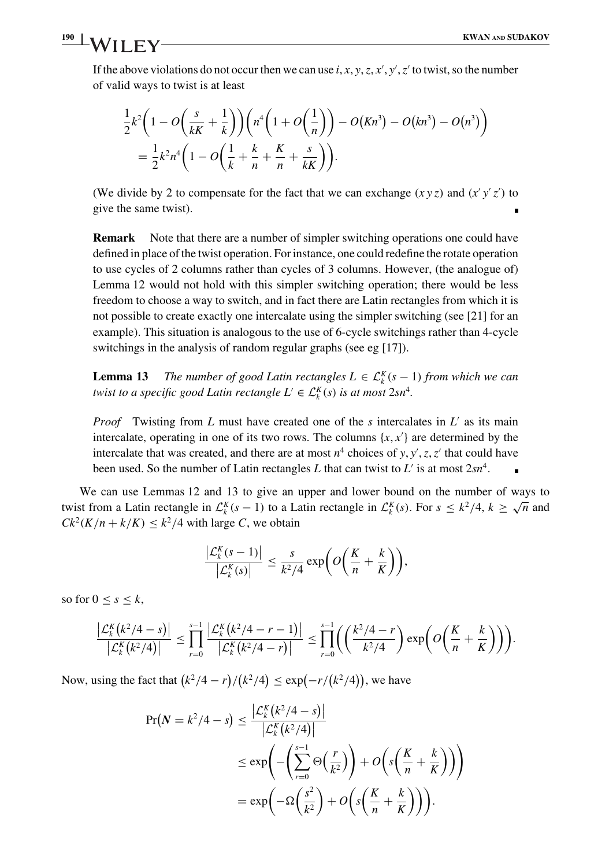### If the above violations do not occur then we can use  $i, x, y, z, x', y', z'$  to twist, so the number of valid ways to twist is at least

$$
\frac{1}{2}k^2\bigg(1 - O\bigg(\frac{s}{kK} + \frac{1}{k}\bigg)\bigg)\bigg(n^4\bigg(1 + O\bigg(\frac{1}{n}\bigg)\bigg) - O(Kn^3) - O(kn^3) - O(n^3)\bigg) \n= \frac{1}{2}k^2n^4\bigg(1 - O\bigg(\frac{1}{k} + \frac{k}{n} + \frac{K}{n} + \frac{s}{kK}\bigg)\bigg).
$$

(We divide by 2 to compensate for the fact that we can exchange  $(xyz)$  and  $(x'y'z')$  to give the same twist).

**Remark** Note that there are a number of simpler switching operations one could have defined in place of the twist operation. For instance, one could redefine the rotate operation to use cycles of 2 columns rather than cycles of 3 columns. However, (the analogue of) [Lemma 12](#page-8-0) would not hold with this simpler switching operation; there would be less freedom to choose a way to switch, and in fact there are Latin rectangles from which it is not possible to create exactly one intercalate using the simpler switching (see [\[21\]](#page-14-0) for an example). This situation is analogous to the use of 6-cycle switchings rather than 4-cycle switchings in the analysis of random regular graphs (see eg [\[17\]](#page-14-0)).

**Lemma 13** *The number of good Latin rectangles*  $L \in \mathcal{L}_k^K$  (*s* − 1) *from which we can twist to a specific good Latin rectangle*  $L' \in \mathcal{L}_k^K(s)$  *is at most*  $2sn^4$ *.* 

*Proof* Twisting from *L* must have created one of the *s* intercalates in  $L'$  as its main intercalate, operating in one of its two rows. The columns  $\{x, x'\}$  are determined by the intercalate that was created, and there are at most  $n^4$  choices of *y*, *y*<sup>'</sup>, *z*, *z*<sup>'</sup> that could have been used. So the number of Latin rectangles L that can twist to  $L'$  is at most  $2sn^4$ .

We can use [Lemmas 12](#page-8-0) and 13 to give an upper and lower bound on the number of ways to twist from a Latin rectangle in  $\mathcal{L}_k^K(s-1)$  to a Latin rectangle in  $\mathcal{L}_k^K(s)$ . For  $s \leq k^2/4$ ,  $k \geq \sqrt{n}$  and twist  $Ck^2(K/n + k/K) \leq k^2/4$  with large *C*, we obtain

$$
\frac{\left|\mathcal{L}_{k}^{K}(s-1)\right|}{\left|\mathcal{L}_{k}^{K}(s)\right|} \leq \frac{s}{k^{2}/4} \exp\bigg(O\bigg(\frac{K}{n}+\frac{k}{K}\bigg)\bigg),\,
$$

so for  $0 \leq s \leq k$ ,

$$
\frac{\left|\mathcal{L}_{k}^{K}(k^{2}/4-s)\right|}{\left|\mathcal{L}_{k}^{K}(k^{2}/4)\right|} \leq \prod_{r=0}^{s-1} \frac{\left|\mathcal{L}_{k}^{K}(k^{2}/4-r-1)\right|}{\left|\mathcal{L}_{k}^{K}(k^{2}/4-r)\right|} \leq \prod_{r=0}^{s-1} \left(\left(\frac{k^{2}/4-r}{k^{2}/4}\right) \exp\left(\mathcal{O}\left(\frac{K}{n}+\frac{k}{K}\right)\right)\right).
$$

Now, using the fact that  $(k^2/4 - r)/(k^2/4) \le \exp(-r/(k^2/4))$ , we have

$$
\Pr(N = k^2/4 - s) \le \frac{|\mathcal{L}_k^K(k^2/4 - s)|}{|\mathcal{L}_k^K(k^2/4)|} \n\le \exp\left(-\left(\sum_{r=0}^{s-1} \Theta\left(\frac{r}{k^2}\right)\right) + O\left(s\left(\frac{K}{n} + \frac{k}{K}\right)\right)\right) \n= \exp\left(-\Omega\left(\frac{s^2}{k^2}\right) + O\left(s\left(\frac{K}{n} + \frac{k}{K}\right)\right)\right).
$$

## **1900 KWAN** AND SUDAKOV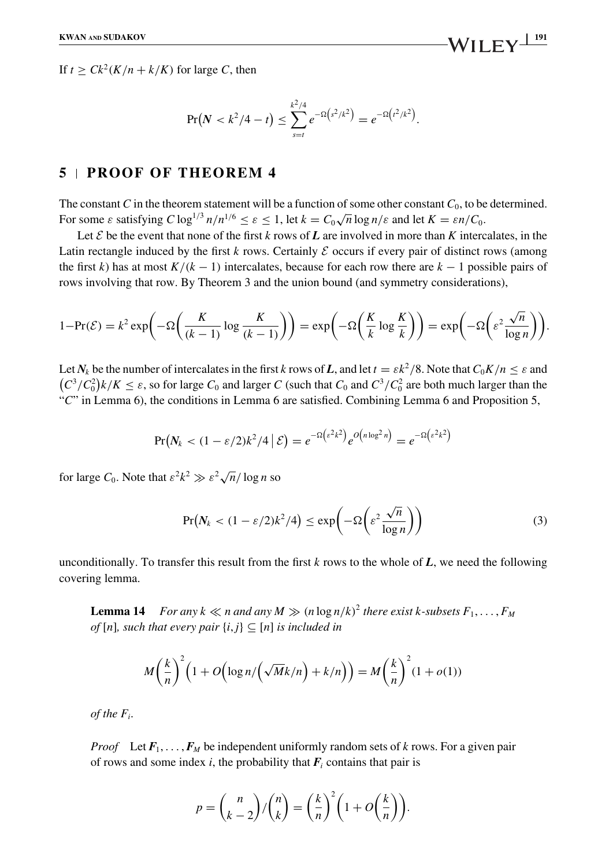<span id="page-10-0"></span>If  $t \geq Ck^2(K/n + k/K)$  for large *C*, then

$$
Pr(N < k^2/4 - t) \leq \sum_{s=t}^{k^2/4} e^{-\Omega(s^2/k^2)} = e^{-\Omega(t^2/k^2)}.
$$

### **5 PROOF OF THEOREM [4](#page-3-0)**

The constant *C* in the theorem statement will be a function of some other constant  $C_0$ , to be determined. For some  $\varepsilon$  satisfying  $C \log^{1/3} n/n^{1/6} \le \varepsilon \le 1$ , let  $k = C_0 \sqrt{n} \log n/\varepsilon$  and let  $K = \varepsilon n/C_0$ .

Let  $\mathcal E$  be the event that none of the first *k* rows of *L* are involved in more than *K* intercalates, in the Latin rectangle induced by the first  $k$  rows. Certainly  $\mathcal E$  occurs if every pair of distinct rows (among the first *k*) has at most  $K/(k-1)$  intercalates, because for each row there are  $k-1$  possible pairs of rows involving that row. By [Theorem 3](#page-2-0) and the union bound (and symmetry considerations),

$$
1 - \Pr(\mathcal{E}) = k^2 \exp\bigg(-\Omega\bigg(\frac{K}{(k-1)}\log\frac{K}{(k-1)}\bigg)\bigg) = \exp\bigg(-\Omega\bigg(\frac{K}{k}\log\frac{K}{k}\bigg)\bigg) = \exp\bigg(-\Omega\bigg(\varepsilon^2 \frac{\sqrt{n}}{\log n}\bigg)\bigg).
$$

Let  $N_k$  be the number of intercalates in the first *k* rows of *L*, and let  $t = \varepsilon k^2/8$ . Note that  $C_0 K/n < \varepsilon$  and  $(C^3/C_0^2)k/K \leq \varepsilon$ , so for large  $C_0$  and larger *C* (such that  $C_0$  and  $C^3/C_0^2$  are both much larger than the "*C*" in [Lemma 6\)](#page-3-0), the conditions in [Lemma 6](#page-3-0) are satisfied. Combining [Lemma 6](#page-3-0) and [Proposition 5](#page-3-0),

$$
Pr(N_k < (1 - \varepsilon/2)k^2/4 \,|\,\mathcal{E}) = e^{-\Omega\left(\varepsilon^2 k^2\right)} e^{O\left(n\log^2 n\right)} = e^{-\Omega\left(\varepsilon^2 k^2\right)}
$$

for large  $C_0$ . Note that  $\varepsilon^2 k^2 \gg \varepsilon^2 \sqrt{n}/\log n$  so

$$
\Pr(N_k < (1 - \varepsilon/2)k^2/4) \le \exp\left(-\Omega\left(\varepsilon^2 \frac{\sqrt{n}}{\log n}\right)\right) \tag{3}
$$

unconditionally. To transfer this result from the first  $k$  rows to the whole of  $L$ , we need the following covering lemma.

**Lemma 14**  $For any  $k \ll n$  and any  $M \gg (n \log n/k)^2$  there exist  $k$ -subsets  $F_1, \ldots, F_M$$ *of*  $[n]$ *, such that every pair*  $\{i, j\} \subseteq [n]$  *is included in* 

$$
M\left(\frac{k}{n}\right)^2 \left(1 + O\left(\log n/\left(\sqrt{Mk}/n\right) + k/n\right)\right) = M\left(\frac{k}{n}\right)^2 (1 + o(1))
$$

*of the Fi.*

*Proof* Let  $F_1, \ldots, F_M$  be independent uniformly random sets of *k* rows. For a given pair of rows and some index *i*, the probability that  $F_i$  contains that pair is

$$
p = \binom{n}{k-2} / \binom{n}{k} = \left(\frac{k}{n}\right)^2 \left(1 + O\left(\frac{k}{n}\right)\right).
$$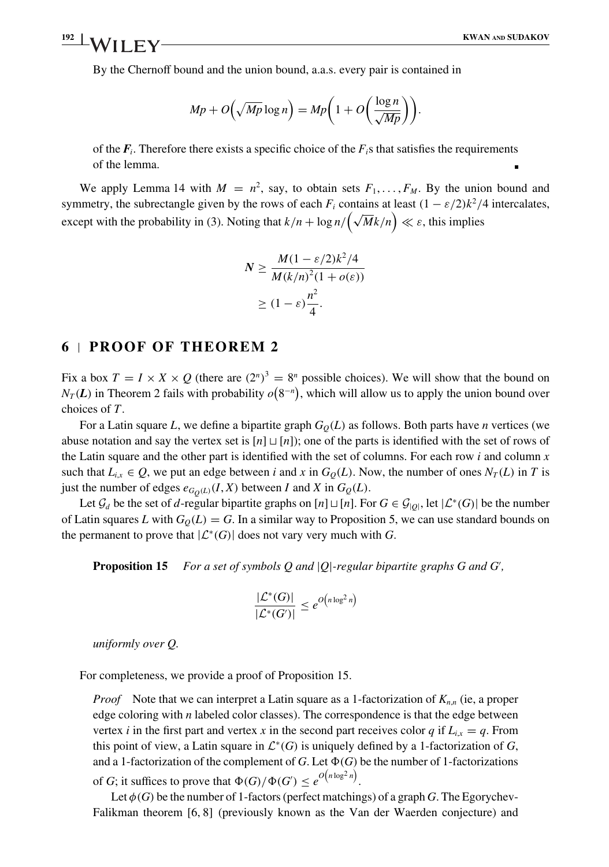<span id="page-11-0"></span>By the Chernoff bound and the union bound, a.a.s. every pair is contained in

$$
Mp + O\left(\sqrt{Mp} \log n\right) = Mp\left(1 + O\left(\frac{\log n}{\sqrt{Mp}}\right)\right).
$$

of the  $F_i$ . Therefore there exists a specific choice of the  $F_i$ s that satisfies the requirements of the lemma.

We apply [Lemma 14](#page-10-0) with  $M = n^2$ , say, to obtain sets  $F_1, \ldots, F_M$ . By the union bound and symmetry, the subrectangle given by the rows of each  $F_i$  contains at least  $(1 - \varepsilon/2)k^2/4$  intercalates, except with the probability in [\(3\)](#page-10-0). Noting that  $k/n + \log n / (\sqrt{M}k/n) \ll \varepsilon$ , this implies

$$
N \ge \frac{M(1 - \varepsilon/2)k^2/4}{M(k/n)^2(1 + o(\varepsilon))}
$$
  
 
$$
\ge (1 - \varepsilon)\frac{n^2}{4}.
$$

### **6 PROOF OF THEOREM [2](#page-2-0)**

Fix a box  $T = I \times X \times Q$  (there are  $(2^n)^3 = 8^n$  possible choices). We will show that the bound on  $N_T(L)$  in [Theorem 2](#page-2-0) fails with probability  $o(8^{-n})$ , which will allow us to apply the union bound over choices of *T*.

For a Latin square *L*, we define a bipartite graph  $G<sub>O</sub>(L)$  as follows. Both parts have *n* vertices (we abuse notation and say the vertex set is  $[n] \sqcup [n]$ ; one of the parts is identified with the set of rows of the Latin square and the other part is identified with the set of columns. For each row *i* and column *x* such that  $L_{i,x} \in Q$ , we put an edge between *i* and *x* in  $G_Q(L)$ . Now, the number of ones  $N_T(L)$  in *T* is just the number of edges  $e_{G_O(L)}(I, X)$  between *I* and *X* in  $G_Q(L)$ .

Let  $\mathcal{G}_d$  be the set of *d*-regular bipartite graphs on  $[n] \sqcup [n]$ . For  $G \in \mathcal{G}_{[0]}$ , let  $|\mathcal{L}^*(G)|$  be the number of Latin squares *L* with  $G<sub>Q</sub>(L) = G$ . In a similar way to [Proposition 5](#page-3-0), we can use standard bounds on the permanent to prove that  $|\mathcal{L}^*(G)|$  does not vary very much with *G*.

**Proposition 15** *For a set of symbols Q and* |*Q*|*-regular bipartite graphs G and G ,*

$$
\frac{|\mathcal{L}^*(G)|}{|\mathcal{L}^*(G')|} \leq e^{O\left(n\log^2 n\right)}
$$

*uniformly over Q.*

For completeness, we provide a proof of Proposition 15.

*Proof* Note that we can interpret a Latin square as a 1-factorization of  $K_{n,n}$  (ie, a proper edge coloring with *n* labeled color classes). The correspondence is that the edge between vertex *i* in the first part and vertex *x* in the second part receives color *q* if  $L_{i,x} = q$ . From this point of view, a Latin square in  $\mathcal{L}*(G)$  is uniquely defined by a 1-factorization of *G*, and a 1-factorization of the complement of  $G$ . Let  $\Phi(G)$  be the number of 1-factorizations of *G*; it suffices to prove that  $\Phi(G)/\Phi(G') \leq e^{O\left(n\log^2 n\right)}$ .

Let  $\phi(G)$  be the number of 1-factors (perfect matchings) of a graph *G*. The Egorychev-Falikman theorem [\[6, 8\]](#page-14-0) (previously known as the Van der Waerden conjecture) and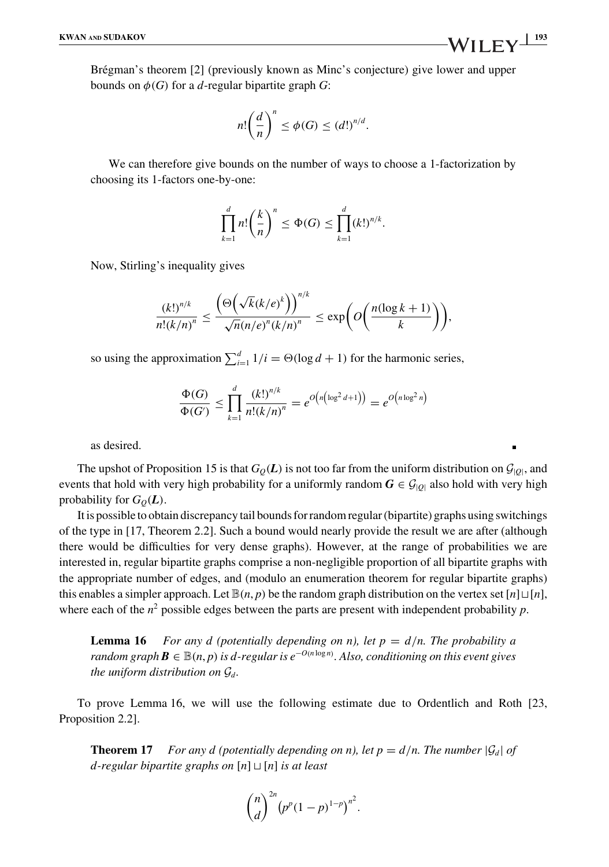<span id="page-12-0"></span>Brégman's theorem [\[2\]](#page-14-0) (previously known as Minc's conjecture) give lower and upper bounds on  $\phi(G)$  for a *d*-regular bipartite graph *G*:

$$
n!\left(\frac{d}{n}\right)^n \leq \phi(G) \leq (d!)^{n/d}.
$$

We can therefore give bounds on the number of ways to choose a 1-factorization by choosing its 1-factors one-by-one:

$$
\prod_{k=1}^d n! \left(\frac{k}{n}\right)^n \leq \Phi(G) \leq \prod_{k=1}^d (k!)^{n/k}.
$$

Now, Stirling's inequality gives

$$
\frac{(k!)^{n/k}}{n!(k/n)^n} \leq \frac{\left(\Theta\left(\sqrt{k}(k/e)^k\right)\right)^{n/k}}{\sqrt{n}(n/e)^n(k/n)^n} \leq \exp\bigg(O\bigg(\frac{n(\log k + 1)}{k}\bigg)\bigg),
$$

so using the approximation  $\sum_{i=1}^{d} 1/i = \Theta(\log d + 1)$  for the harmonic series,

$$
\frac{\Phi(G)}{\Phi(G')} \le \prod_{k=1}^d \frac{(k!)^{n/k}}{n!(k/n)^n} = e^{O\left(n\left(\log^2 d + 1\right)\right)} = e^{O\left(n\log^2 n\right)}
$$

as desired.

The upshot of [Proposition 15](#page-11-0) is that  $G<sub>Q</sub>(L)$  is not too far from the uniform distribution on  $\mathcal{G}<sub>|Q|</sub>$ , and events that hold with very high probability for a uniformly random  $G \in \mathcal{G}_{|Q|}$  also hold with very high probability for  $G<sub>Q</sub>(L)$ .

It is possible to obtain discrepancy tail bounds for random regular (bipartite) graphs using switchings of the type in [\[17,](#page-14-0) Theorem 2.2]. Such a bound would nearly provide the result we are after (although there would be difficulties for very dense graphs). However, at the range of probabilities we are interested in, regular bipartite graphs comprise a non-negligible proportion of all bipartite graphs with the appropriate number of edges, and (modulo an enumeration theorem for regular bipartite graphs) this enables a simpler approach. Let  $\mathbb{B}(n, p)$  be the random graph distribution on the vertex set  $[n] \sqcup [n]$ , where each of the  $n^2$  possible edges between the parts are present with independent probability  $p$ .

**Lemma 16** *For any d (potentially depending on n), let*  $p = d/n$ *. The probability a random graph B* ∈ B(*n*, *p*)*is d-regular is e*<sup>−</sup>*O*(*<sup>n</sup>* log *<sup>n</sup>*) *. Also, conditioning on this event gives the uniform distribution on*  $\mathcal{G}_d$ *.* 

To prove Lemma 16, we will use the following estimate due to Ordentlich and Roth [\[23,](#page-14-0) Proposition 2.2].

**Theorem 17** *For any d (potentially depending on n), let*  $p = d/n$ *. The number*  $|\mathcal{G}_d|$  of *d*-regular bipartite graphs on  $[n] \sqcup [n]$  *is at least* 

$$
{\binom{n}{d}}^{2n} (p^p (1-p)^{1-p})^{n^2}.
$$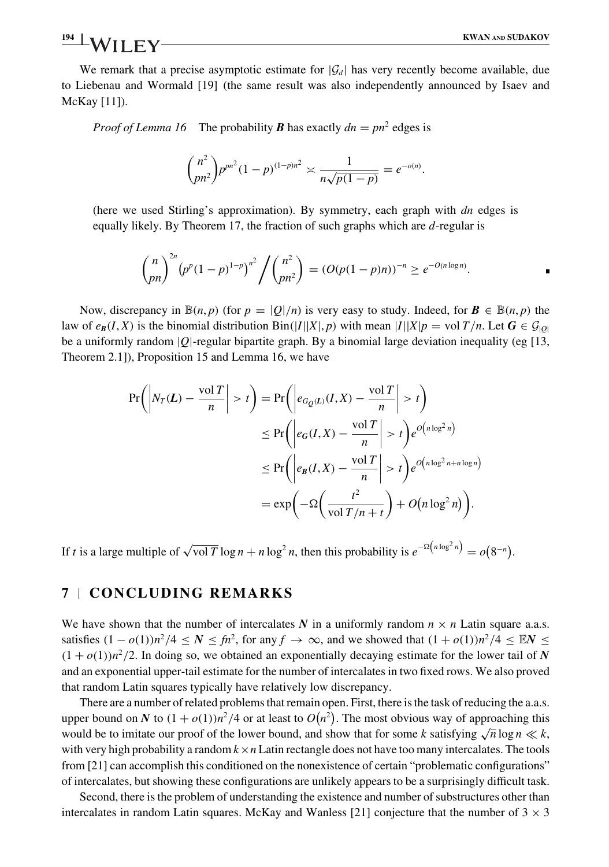We remark that a precise asymptotic estimate for  $|\mathcal{G}_d|$  has very recently become available, due to Liebenau and Wormald [\[19\]](#page-14-0) (the same result was also independently announced by Isaev and McKay [\[11\]](#page-14-0)).

*Proof of [Lemma 16](#page-12-0)* The probability *B* has exactly  $dn = pn^2$  edges is

$$
{n^2 \choose pn^2} p^{pn^2} (1-p)^{(1-p)n^2} \asymp \frac{1}{n\sqrt{p(1-p)}} = e^{-o(n)}.
$$

(here we used Stirling's approximation). By symmetry, each graph with *dn* edges is equally likely. By [Theorem 17,](#page-12-0) the fraction of such graphs which are *d*-regular is

$$
{\binom{n}{pn}}^{2n} (p^p (1-p)^{1-p})^{n^2} / {\binom{n^2}{pn^2}} = (O(p(1-p)n))^{-n} \ge e^{-O(n \log n)}.
$$

Now, discrepancy in  $\mathbb{B}(n, p)$  (for  $p = |Q|/n$ ) is very easy to study. Indeed, for  $\mathbf{B} \in \mathbb{B}(n, p)$  the law of  $e_B(I, X)$  is the binomial distribution Bin(|*I*||X|, *p*) with mean  $|I||X|p = \text{vol }T/n$ . Let  $G \in \mathcal{G}_{|O|}$ be a uniformly random |*Q*|-regular bipartite graph. By a binomial large deviation inequality (eg [\[13,](#page-14-0) Theorem 2.1]), [Proposition 15](#page-11-0) and [Lemma 16](#page-12-0), we have

$$
\Pr\left(\left|N_T(L) - \frac{\text{vol } T}{n}\right| > t\right) = \Pr\left(\left|e_{G_Q(L)}(I, X) - \frac{\text{vol } T}{n}\right| > t\right)
$$
\n
$$
\leq \Pr\left(\left|e_G(I, X) - \frac{\text{vol } T}{n}\right| > t\right) e^{O\left(n\log^2 n\right)}
$$
\n
$$
\leq \Pr\left(\left|e_B(I, X) - \frac{\text{vol } T}{n}\right| > t\right) e^{O\left(n\log^2 n + n\log n\right)}
$$
\n
$$
= \exp\left(-\Omega\left(\frac{t^2}{\text{vol } T/n + t}\right) + O\left(n\log^2 n\right)\right).
$$

If *t* is a large multiple of  $\sqrt{\text{vol }T} \log n + n \log^2 n$ , then this probability is  $e^{-\Omega(n \log^2 n)} = o(8^{-n})$ .

### **7 CONCLUDING REMARKS**

We have shown that the number of intercalates  $N$  in a uniformly random  $n \times n$  Latin square a.a.s. satisfies  $(1 - o(1))n^2/4 \le N \le \hbar n^2$ , for any  $f \to \infty$ , and we showed that  $(1 + o(1))n^2/4 \le \mathbb{E}N \le$  $(1 + o(1))n^2/2$ . In doing so, we obtained an exponentially decaying estimate for the lower tail of *N* and an exponential upper-tail estimate for the number of intercalates in two fixed rows. We also proved that random Latin squares typically have relatively low discrepancy.

There are a number of related problems that remain open. First, there is the task of reducing the a.a.s. upper bound on *N* to  $(1 + o(1))n^2/4$  or at least to  $O(n^2)$ . The most obvious way of approaching this would be to imitate our proof of the lower bound, and show that for some *k* satisfying  $\sqrt{n} \log n \ll k$ , with very high probability a random  $k \times n$  Latin rectangle does not have too many intercalates. The tools from [\[21\]](#page-14-0) can accomplish this conditioned on the nonexistence of certain "problematic configurations" of intercalates, but showing these configurations are unlikely appears to be a surprisingly difficult task.

Second, there is the problem of understanding the existence and number of substructures other than intercalates in random Latin squares. McKay and Wanless [\[21\]](#page-14-0) conjecture that the number of  $3 \times 3$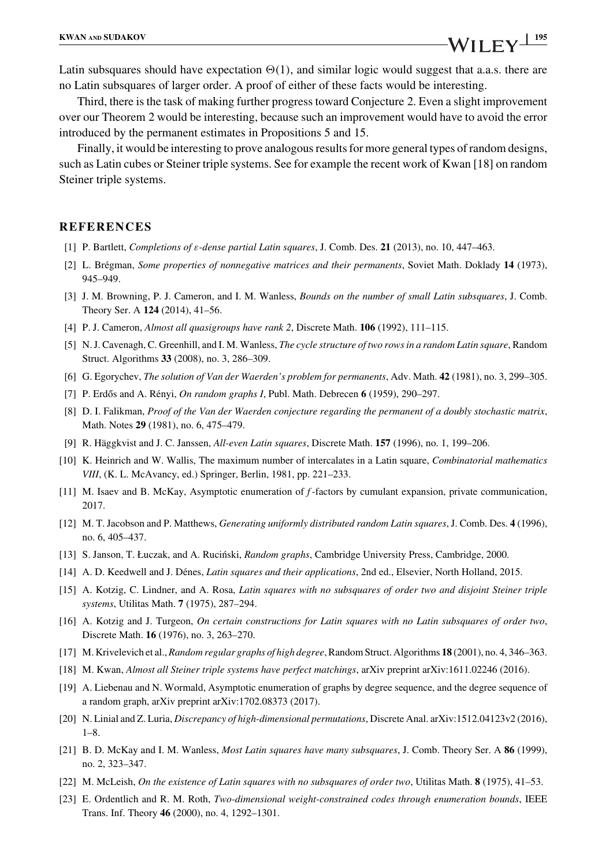<span id="page-14-0"></span>Latin subsquares should have expectation  $\Theta(1)$ , and similar logic would suggest that a.a.s. there are no Latin subsquares of larger order. A proof of either of these facts would be interesting.

Third, there is the task of making further progress toward [Conjecture 2](#page-2-0). Even a slight improvement over our [Theorem 2](#page-2-0) would be interesting, because such an improvement would have to avoid the error introduced by the permanent estimates in [Propositions 5](#page-3-0) and [15](#page-11-0).

Finally, it would be interesting to prove analogous results for more general types of random designs, such as Latin cubes or Steiner triple systems. See for example the recent work of Kwan [18] on random Steiner triple systems.

#### **REFERENCES**

- [1] P. Bartlett, *Completions of* ε*-dense partial Latin squares*, J. Comb. Des. **21** (2013), no. 10, 447–463.
- [2] L. Brégman, *Some properties of nonnegative matrices and their permanents*, Soviet Math. Doklady **14** (1973), 945–949.
- [3] J. M. Browning, P. J. Cameron, and I. M. Wanless, *Bounds on the number of small Latin subsquares*, J. Comb. Theory Ser. A **124** (2014), 41–56.
- [4] P. J. Cameron, *Almost all quasigroups have rank 2*, Discrete Math. **106** (1992), 111–115.
- [5] N. J. Cavenagh, C. Greenhill, and I. M. Wanless, *The cycle structure of two rows in a random Latin square*, Random Struct. Algorithms **33** (2008), no. 3, 286–309.
- [6] G. Egorychev, *The solution of Van der Waerden's problem for permanents*, Adv. Math. **42** (1981), no. 3, 299–305.
- [7] P. Erdős and A. Rényi, *On random graphs I*, Publ. Math. Debrecen **6** (1959), 290–297.
- [8] D. I. Falikman, *Proof of the Van der Waerden conjecture regarding the permanent of a doubly stochastic matrix*, Math. Notes **29** (1981), no. 6, 475–479.
- [9] R. Häggkvist and J. C. Janssen, *All-even Latin squares*, Discrete Math. **157** (1996), no. 1, 199–206.
- [10] K. Heinrich and W. Wallis, The maximum number of intercalates in a Latin square, *Combinatorial mathematics VIII*, (K. L. McAvancy, ed.) Springer, Berlin, 1981, pp. 221–233.
- [11] M. Isaev and B. McKay, Asymptotic enumeration of *f* -factors by cumulant expansion, private communication, 2017.
- [12] M. T. Jacobson and P. Matthews, *Generating uniformly distributed random Latin squares*, J. Comb. Des. **4** (1996), no. 6, 405–437.
- [13] S. Janson, T. Łuczak, and A. Ruciński, *Random graphs*, Cambridge University Press, Cambridge, 2000.
- [14] A. D. Keedwell and J. Dénes, *Latin squares and their applications*, 2nd ed., Elsevier, North Holland, 2015.
- [15] A. Kotzig, C. Lindner, and A. Rosa, *Latin squares with no subsquares of order two and disjoint Steiner triple systems*, Utilitas Math. **7** (1975), 287–294.
- [16] A. Kotzig and J. Turgeon, *On certain constructions for Latin squares with no Latin subsquares of order two*, Discrete Math. **16** (1976), no. 3, 263–270.
- [17] M. Krivelevich et al., *Random regular graphs of high degree*, Random Struct. Algorithms **18** (2001), no. 4, 346–363.
- [18] M. Kwan, *Almost all Steiner triple systems have perfect matchings*, arXiv preprint arXiv:1611.02246 (2016).
- [19] A. Liebenau and N. Wormald, Asymptotic enumeration of graphs by degree sequence, and the degree sequence of a random graph, arXiv preprint arXiv:1702.08373 (2017).
- [20] N. Linial and Z. Luria, *Discrepancy of high-dimensional permutations*, Discrete Anal. arXiv:1512.04123v2 (2016), 1–8.
- [21] B. D. McKay and I. M. Wanless, *Most Latin squares have many subsquares*, J. Comb. Theory Ser. A **86** (1999), no. 2, 323–347.
- [22] M. McLeish, *On the existence of Latin squares with no subsquares of order two*, Utilitas Math. **8** (1975), 41–53.
- [23] E. Ordentlich and R. M. Roth, *Two-dimensional weight-constrained codes through enumeration bounds*, IEEE Trans. Inf. Theory **46** (2000), no. 4, 1292–1301.